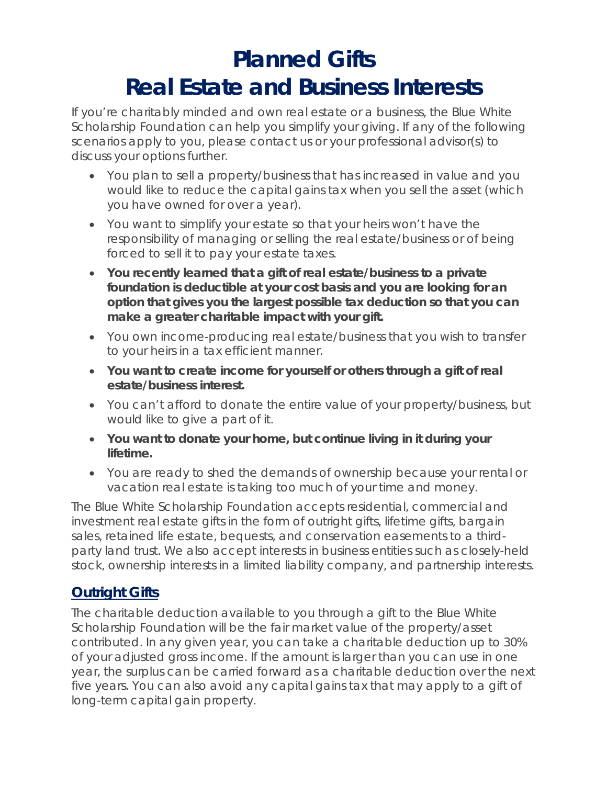## **Planned Gifts Real Estate and Business Interests**

If you're charitably minded and own real estate or a business, the Blue White Scholarship Foundation can help you simplify your giving. If any of the following scenarios apply to you, please contact us or your professional advisor(s) to discuss your options further.

- You plan to sell a property/business that has increased in value and you would like to reduce the capital gains tax when you sell the asset (which you have owned for over a year).
- You want to simplify your estate so that your heirs won't have the responsibility of managing or selling the real estate/business or of being forced to sell it to pay your estate taxes.
- **You recently learned that a gift of real estate/business to a private foundation is deductible at your cost basis and you are looking for an option that gives you the largest possible tax deduction so that you can make a greater charitable impact with your gift.**
- You own income-producing real estate/business that you wish to transfer to your heirs in a tax efficient manner.
- **You want to create income for yourself or others through a gift of real estate/business interest.**
- You can't afford to donate the entire value of your property/business, but would like to give a part of it.
- **You want to donate your home, but continue living in it during your lifetime.**
- You are ready to shed the demands of ownership because your rental or vacation real estate is taking too much of your time and money.

The Blue White Scholarship Foundation accepts residential, commercial and investment real estate gifts in the form of outright gifts, lifetime gifts, bargain sales, retained life estate, bequests, and conservation easements to a thirdparty land trust. We also accept interests in business entities such as closely-held stock, ownership interests in a limited liability company, and partnership interests.

### **Outright Gifts**

The charitable deduction available to you through a gift to the Blue White Scholarship Foundation will be the fair market value of the property/asset contributed. In any given year, you can take a charitable deduction up to 30% of your adjusted gross income. If the amount is larger than you can use in one year, the surplus can be carried forward as a charitable deduction over the next five years. You can also avoid any capital gains tax that may apply to a gift of long-term capital gain property.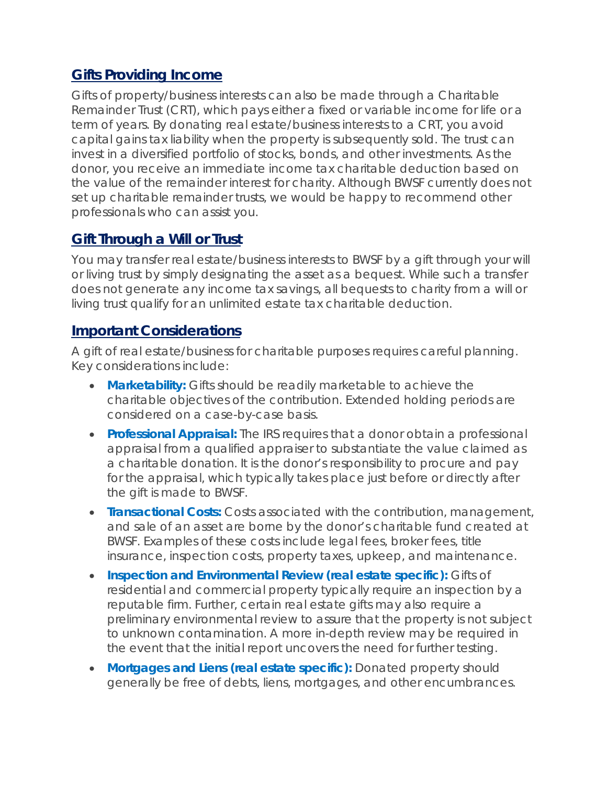#### **Gifts Providing Income**

Gifts of property/business interests can also be made through a Charitable Remainder Trust (CRT), which pays either a fixed or variable income for life or a term of years. By donating real estate/business interests to a CRT, you avoid capital gains tax liability when the property is subsequently sold. The trust can invest in a diversified portfolio of stocks, bonds, and other investments. As the donor, you receive an immediate income tax charitable deduction based on the value of the remainder interest for charity. Although BWSF currently does not set up charitable remainder trusts, we would be happy to recommend other professionals who can assist you.

#### **Gift Through a Will or Trust**

You may transfer real estate/business interests to BWSF by a gift through your will or living trust by simply designating the asset as a bequest. While such a transfer does not generate any income tax savings, all bequests to charity from a will or living trust qualify for an unlimited estate tax charitable deduction.

#### **Important Considerations**

A gift of real estate/business for charitable purposes requires careful planning. Key considerations include:

- **Marketability:** Gifts should be readily marketable to achieve the charitable objectives of the contribution. Extended holding periods are considered on a case-by-case basis.
- **Professional Appraisal:** The IRS requires that a donor obtain a professional appraisal from a qualified appraiser to substantiate the value claimed as a charitable donation. It is the donor's responsibility to procure and pay for the appraisal, which typically takes place just before or directly after the gift is made to BWSF.
- **Transactional Costs:** Costs associated with the contribution, management, and sale of an asset are borne by the donor's charitable fund created at BWSF. Examples of these costs include legal fees, broker fees, title insurance, inspection costs, property taxes, upkeep, and maintenance.
- **Inspection and Environmental Review (real estate specific):** Gifts of residential and commercial property typically require an inspection by a reputable firm. Further, certain real estate gifts may also require a preliminary environmental review to assure that the property is not subject to unknown contamination. A more in-depth review may be required in the event that the initial report uncovers the need for further testing.
- **Mortgages and Liens (real estate specific):** Donated property should generally be free of debts, liens, mortgages, and other encumbrances.